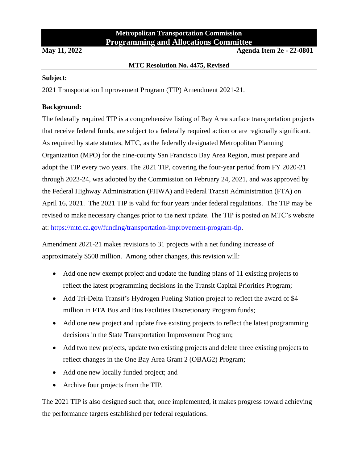# **Metropolitan Transportation Commission Programming and Allocations Committee**

**May 11, 2022 Agenda Item 2e - 22-0801**

### **MTC Resolution No. 4475, Revised**

## **Subject:**

2021 Transportation Improvement Program (TIP) Amendment 2021-21.

# **Background:**

The federally required TIP is a comprehensive listing of Bay Area surface transportation projects that receive federal funds, are subject to a federally required action or are regionally significant. As required by state statutes, MTC, as the federally designated Metropolitan Planning Organization (MPO) for the nine-county San Francisco Bay Area Region, must prepare and adopt the TIP every two years. The 2021 TIP, covering the four-year period from FY 2020-21 through 2023-24, was adopted by the Commission on February 24, 2021, and was approved by the Federal Highway Administration (FHWA) and Federal Transit Administration (FTA) on April 16, 2021. The 2021 TIP is valid for four years under federal regulations. The TIP may be revised to make necessary changes prior to the next update. The TIP is posted on MTC's website at: [https://mtc.ca.gov/funding/transportation-improvement-program-tip.](https://mtc.ca.gov/funding/transportation-improvement-program-tip)

Amendment 2021-21 makes revisions to 31 projects with a net funding increase of approximately \$508 million. Among other changes, this revision will:

- Add one new exempt project and update the funding plans of 11 existing projects to reflect the latest programming decisions in the Transit Capital Priorities Program;
- Add Tri-Delta Transit's Hydrogen Fueling Station project to reflect the award of \$4 million in FTA Bus and Bus Facilities Discretionary Program funds;
- Add one new project and update five existing projects to reflect the latest programming decisions in the State Transportation Improvement Program;
- Add two new projects, update two existing projects and delete three existing projects to reflect changes in the One Bay Area Grant 2 (OBAG2) Program;
- Add one new locally funded project; and
- Archive four projects from the TIP.

The 2021 TIP is also designed such that, once implemented, it makes progress toward achieving the performance targets established per federal regulations.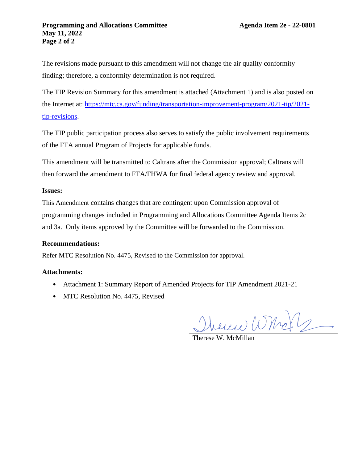The revisions made pursuant to this amendment will not change the air quality conformity finding; therefore, a conformity determination is not required.

The TIP Revision Summary for this amendment is attached (Attachment 1) and is also posted on the Internet at: [https://mtc.ca.gov/funding/transportation-improvement-program/2021-tip/2021](https://mtc.ca.gov/funding/transportation-improvement-program/2021-tip/2021-tip-revisions) [tip-revisions.](https://mtc.ca.gov/funding/transportation-improvement-program/2021-tip/2021-tip-revisions)

The TIP public participation process also serves to satisfy the public involvement requirements of the FTA annual Program of Projects for applicable funds.

This amendment will be transmitted to Caltrans after the Commission approval; Caltrans will then forward the amendment to FTA/FHWA for final federal agency review and approval.

## **Issues:**

This Amendment contains changes that are contingent upon Commission approval of programming changes included in Programming and Allocations Committee Agenda Items 2c and 3a. Only items approved by the Committee will be forwarded to the Commission.

#### **Recommendations:**

Refer MTC Resolution No. 4475, Revised to the Commission for approval.

#### **Attachments:**

- Attachment 1: Summary Report of Amended Projects for TIP Amendment 2021-21
- MTC Resolution No. 4475, Revised

Merciel Whole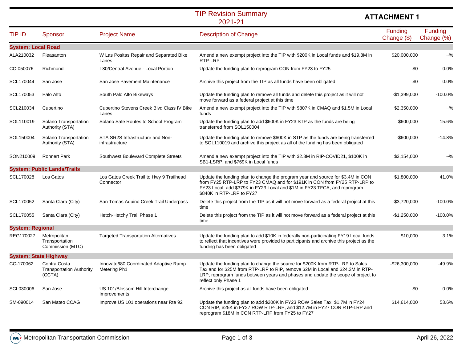#### 2021-21TIP Revision Summary

# **ATTACHMENT 1**

| <b>TIP ID</b>             | Sponsor                                                   | <b>Project Name</b>                                    | <b>Description of Change</b>                                                                                                                                                                                                                                                 | Funding<br>Change (\$) | Funding<br>Change (%)     |
|---------------------------|-----------------------------------------------------------|--------------------------------------------------------|------------------------------------------------------------------------------------------------------------------------------------------------------------------------------------------------------------------------------------------------------------------------------|------------------------|---------------------------|
| <b>System: Local Road</b> |                                                           |                                                        |                                                                                                                                                                                                                                                                              |                        |                           |
| ALA210032                 | Pleasanton                                                | W Las Positas Repair and Separated Bike<br>Lanes       | Amend a new exempt project into the TIP with \$200K in Local funds and \$19.8M in<br>RTP-LRP                                                                                                                                                                                 | \$20,000,000           | $-$ %                     |
| CC-050076                 | Richmond                                                  | I-80/Central Avenue - Local Portion                    | Update the funding plan to reprogram CON from FY23 to FY25                                                                                                                                                                                                                   | \$0                    | 0.0%                      |
| SCL170044                 | San Jose                                                  | San Jose Pavement Maintenance                          | Archive this project from the TIP as all funds have been obligated                                                                                                                                                                                                           | \$0                    | 0.0%                      |
| SCL170053                 | Palo Alto                                                 | South Palo Alto Bikeways                               | Update the funding plan to remove all funds and delete this project as it will not<br>move forward as a federal project at this time                                                                                                                                         | $-$1,399,000$          | $-100.0%$                 |
| SCL210034                 | Cupertino                                                 | Cupertino Stevens Creek Blvd Class IV Bike<br>Lanes    | Amend a new exempt project into the TIP with \$807K in CMAQ and \$1.5M in Local<br>funds                                                                                                                                                                                     | \$2,350,000            | $-$ %                     |
| SOL110019                 | Solano Transportation<br>Authority (STA)                  | Solano Safe Routes to School Program                   | Update the funding plan to add \$600K in FY23 STP as the funds are being<br>transferred from SOL150004                                                                                                                                                                       | \$600,000              | 15.6%                     |
| SOL150004                 | Solano Transportation<br>Authority (STA)                  | STA SR2S Infrastructure and Non-<br>infrastructure     | Update the funding plan to remove \$600K in STP as the funds are being transferred<br>to SOL110019 and archive this project as all of the funding has been obligated                                                                                                         | $-$600,000$            | $-14.8%$                  |
| SON210009                 | <b>Rohnert Park</b>                                       | Southwest Boulevard Complete Streets                   | Amend a new exempt project into the TIP with \$2.3M in RIP-COVID21, \$100K in<br>SB1-LSRP, and \$769K in Local funds                                                                                                                                                         | \$3,154,000            | ~100                      |
|                           | <b>System: Public Lands/Trails</b>                        |                                                        |                                                                                                                                                                                                                                                                              |                        |                           |
| SCL170028                 | Los Gatos                                                 | Los Gatos Creek Trail to Hwy 9 Trailhead<br>Connector  | Update the funding plan to change the program year and source for \$3.4M in CON<br>from FY25 RTP-LRP to FY23 CMAQ and for \$191K in CON from FY25 RTP-LRP to<br>FY23 Local, add \$379K in FY23 Local and \$1M in FY23 TFCA, and reprogram<br>\$840K in RTP-LRP to FY27       | \$1,800,000            | 41.0%                     |
| SCL170052                 | Santa Clara (City)                                        | San Tomas Aquino Creek Trail Underpass                 | Delete this project from the TIP as it will not move forward as a federal project at this<br>time                                                                                                                                                                            | $-$3,720,000$          | $-100.0%$                 |
| SCL170055                 | Santa Clara (City)                                        | Hetch-Hetchy Trail Phase 1                             | Delete this project from the TIP as it will not move forward as a federal project at this<br>time                                                                                                                                                                            | $-$1,250,000$          | $-100.0%$                 |
| <b>System: Regional</b>   |                                                           |                                                        |                                                                                                                                                                                                                                                                              |                        |                           |
| REG170027                 | Metropolitan<br>Transportation<br>Commission (MTC)        | <b>Targeted Transportation Alternatives</b>            | Update the funding plan to add \$10K in federally non-participating FY19 Local funds<br>to reflect that incentives were provided to participants and archive this project as the<br>funding has been obligated                                                               | \$10,000               | 3.1%                      |
|                           | <b>System: State Highway</b>                              |                                                        |                                                                                                                                                                                                                                                                              |                        |                           |
| CC-170062                 | Contra Costa<br><b>Transportation Authority</b><br>(CCTA) | Innovate680: Coordinated Adaptive Ramp<br>Metering Ph1 | Update the funding plan to change the source for \$200K from RTP-LRP to Sales<br>Tax and for \$25M from RTP-LRP to RIP, remove \$2M in Local and \$24.3M in RTP-<br>LRP, reprogram funds between years and phases and update the scope of project to<br>reflect only Phase 1 |                        | $-49.9%$<br>-\$26,300,000 |
| SCL030006                 | San Jose                                                  | US 101/Blossom Hill Interchange<br>Improvements        | Archive this project as all funds have been obligated                                                                                                                                                                                                                        | \$0                    | 0.0%                      |
| SM-090014                 | San Mateo CCAG                                            | Improve US 101 operations near Rte 92                  | Update the funding plan to add \$200K in FY23 ROW Sales Tax, \$1.7M in FY24<br>CON RIP, \$25K in FY27 ROW RTP-LRP, and \$12.7M in FY27 CON RTP-LRP and<br>reprogram \$18M in CON RTP-LRP from FY25 to FY27                                                                   | \$14,614,000           | 53.6%                     |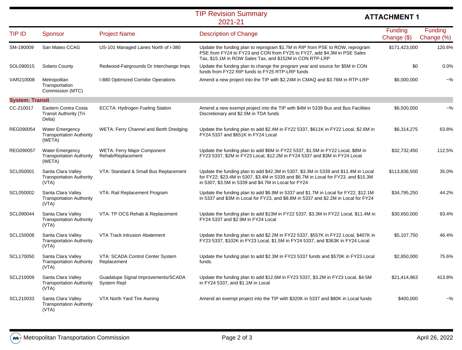### 2021-21TIP Revision Summary

# **ATTACHMENT 1**

| <b>TIP ID</b>          | Sponsor                                                             | <b>Project Name</b>                                     | <b>Description of Change</b>                                                                                                                                                                                                       | Funding<br>Change (\$) | Funding<br>Change (%) |
|------------------------|---------------------------------------------------------------------|---------------------------------------------------------|------------------------------------------------------------------------------------------------------------------------------------------------------------------------------------------------------------------------------------|------------------------|-----------------------|
| SM-190009              | San Mateo CCAG                                                      | US-101 Managed Lanes North of I-380                     | Update the funding plan to reprogram \$1.7M in RIP from PSE to ROW, reprogram<br>PSE from FY24 to FY23 and CON from FY25 to FY27, add \$4.3M in PSE Sales<br>Tax, \$15.1M in ROW Sales Tax, and \$152M in CON RTP-LRP              | \$171,423,000          | 120.6%                |
| SOL090015              | Solano County                                                       | Redwood-Fairgrounds Dr Interchange Imps                 | Update the funding plan to change the program year and source for \$5M in CON<br>funds from FY22 RIP funds to FY25 RTP-LRP funds                                                                                                   | \$0                    | 0.0%                  |
| VAR210008              | Metropolitan<br>Transportation<br>Commission (MTC)                  | I-880 Optimized Corridor Operations                     | Amend a new project into the TIP with \$2.24M in CMAQ and \$3.76M in RTP-LRP                                                                                                                                                       | \$6,000,000            | $-$ %                 |
| <b>System: Transit</b> |                                                                     |                                                         |                                                                                                                                                                                                                                    |                        |                       |
| CC-210017              | Eastern Contra Costa<br><b>Transit Authority (Tri</b><br>Delta)     | <b>ECCTA: Hydrogen Fueling Station</b>                  | Amend a new exempt project into the TIP with \$4M in 5339 Bus and Bus Facilities<br>Discretionary and \$2.5M in TDA funds                                                                                                          | \$6,500,000            | ~100                  |
| REG090054              | <b>Water Emergency</b><br><b>Transportation Authority</b><br>(WETA) | WETA: Ferry Channel and Berth Dredging                  | Update the funding plan to add \$2.4M in FY22 5337, \$611K in FY22 Local, \$2.6M in<br>FY24 5337 and \$651K in FY24 Local                                                                                                          | \$6,314,275            | 63.8%                 |
| REG090057              | <b>Water Emergency</b><br><b>Transportation Authority</b><br>(WETA) | <b>WETA: Ferry Major Component</b><br>Rehab/Replacement | Update the funding plan to add \$6M in FY22 5337, \$1.5M in FY22 Local, \$8M in<br>FY23 5337, \$2M in FY23 Local, \$12.2M in FY24 5337 and \$3M in FY24 Local                                                                      | \$32,732,450           | 112.5%                |
| SCL050001              | Santa Clara Valley<br><b>Transportation Authority</b><br>(VTA)      | VTA: Standard & Small Bus Replacement                   | Update the funding plan to add \$42.3M in 5307, \$3.3M in 5339 and \$11.4M in Local<br>for FY22; \$23.4M in 5307, \$3.4M in 5339 and \$6.7M in Local for FY23, and \$15.3M<br>in 5307, \$3.5M in 5339 and \$4.7M in Local for FY24 | \$113,836,500          | 35.0%                 |
| SCL050002              | Santa Clara Valley<br><b>Transportation Authority</b><br>(VTA)      | VTA: Rail Replacement Program                           | Update the funding plan to add \$6.9M in 5337 and \$1.7M in Local for FY22, \$12.1M<br>in 5337 and \$3M in Local for FY23, and \$8.8M in 5337 and \$2.2M in Local for FY24                                                         | \$34,795,250           | 44.2%                 |
| SCL090044              | Santa Clara Valley<br><b>Transportation Authority</b><br>(VTA)      | VTA: TP OCS Rehab & Replacement                         | Update the funding plan to add \$13M in FY22 5337, \$3.3M in FY22 Local, \$11.4M in<br>FY24 5337 and \$2.9M in FY24 Local                                                                                                          | \$30,650,000           | 93.4%                 |
| SCL150008              | Santa Clara Valley<br><b>Transportation Authority</b><br>(VTA)      | VTA Track Intrusion Abatement                           | Update the funding plan to add \$2.2M in FY22 5337, \$557K in FY22 Local, \$407K in<br>FY23 5337, \$102K in FY23 Local, \$1.5M in FY24 5337, and \$363K in FY24 Local                                                              | \$5,107,750            | 46.4%                 |
| SCL170050              | Santa Clara Valley<br><b>Transportation Authority</b><br>(VTA)      | VTA: SCADA Control Center System<br>Replacement         | Update the funding plan to add \$2.3M in FY23 5337 funds and \$570K in FY23 Local<br>funds.                                                                                                                                        | \$2,850,000            | 75.6%                 |
| SCL210009              | Santa Clara Valley<br><b>Transportation Authority</b><br>(VTA)      | Guadalupe Signal Improvements/SCADA<br>System Repl      | Update the funding plan to add \$12.6M in FY23 5337, \$3.2M in FY23 Local, \$4.5M<br>in FY24 5337, and \$1.1M in Local                                                                                                             | \$21,414,963           | 413.8%                |
| SCL210033              | Santa Clara Valley<br><b>Transportation Authority</b><br>(VTA)      | VTA North Yard Tire Awning                              | Amend an exempt project into the TIP with \$320K in 5337 and \$80K in Local funds                                                                                                                                                  | \$400,000              | $-$ %                 |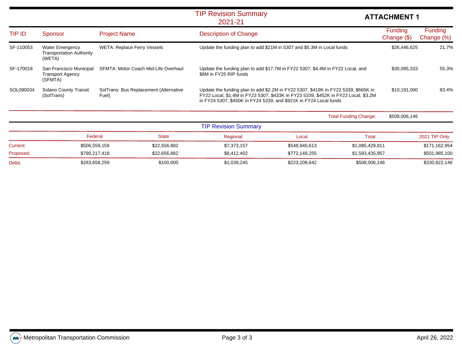### 2021-21TIP Revision Summary

# **ATTACHMENT 1**

| TIP ID    | Sponsor                                                             | <b>Project Name</b>                             | <b>Description of Change</b>                                                                                                                                                                                                                  | <b>Funding</b><br>Change $(\$)$ | <b>Funding</b><br>Change (%) |
|-----------|---------------------------------------------------------------------|-------------------------------------------------|-----------------------------------------------------------------------------------------------------------------------------------------------------------------------------------------------------------------------------------------------|---------------------------------|------------------------------|
| SF-110053 | <b>Water Emergency</b><br><b>Transportation Authority</b><br>(WETA) | <b>WETA: Replace Ferry Vessels</b>              | Update the funding plan to add \$21M in 5307 and \$5.3M in Local funds                                                                                                                                                                        | \$26,446,625                    | 21.7%                        |
| SF-170018 | San Francisco Municipal<br><b>Transport Agency</b><br>(SFMTA)       | SFMTA: Motor Coach Mid-Life Overhaul            | Update the funding plan to add \$17.7M in FY22 5307, \$4.4M in FY22 Local, and<br>\$8M in FY25 RIP funds                                                                                                                                      | \$30,085,333                    | 55.3%                        |
| SOL090034 | Solano County Transit<br>(SolTrans)                                 | SolTrans: Bus Replacement (Alternative<br>Fuel) | Update the funding plan to add \$2.2M in FY22 5307, \$419K in FY22 5339, \$665K in<br>FY22 Local, \$1.4M in FY23 5307, \$433K in FY23 5339, \$452K in FY23 Local, \$3.2M<br>in FY24 5307, \$450K in FY24 5339, and \$921K in FY24 Local funds | \$10,191,000                    | 83.4%                        |
|           |                                                                     |                                                 | <b>Total Funding Change:</b>                                                                                                                                                                                                                  | \$508,006,146                   |                              |
|           |                                                                     |                                                 | <b>TIP Revision Summary</b>                                                                                                                                                                                                                   |                                 |                              |

|           |               |              | .           |               |                 |               |
|-----------|---------------|--------------|-------------|---------------|-----------------|---------------|
|           | Federal       | State        | Regional    | Local         | Tota            | 2021 TIP Only |
| Current:  | \$506,559,159 | \$22,556,882 | \$7,373,157 | \$548,940,613 | \$1,085,429,811 | \$171,162,954 |
| Proposed: | \$790.217.418 | \$22.656.882 | \$8,412,402 | \$772.149.255 | \$1.593.435.957 | \$501,985,100 |
| Delta:    | \$283,658,259 | \$100,000    | \$1,039,245 | \$223,208,642 | \$508,006,146   | \$330,822,146 |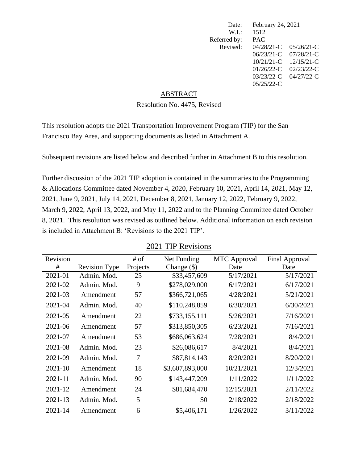| Date:        | February 24, 2021 |               |
|--------------|-------------------|---------------|
| W.I.         | 1512              |               |
| Referred by: | <b>PAC</b>        |               |
| Revised:     | $04/28/21$ -C     | $05/26/21-C$  |
|              | $06/23/21-C$      | $07/28/21-C$  |
|              | $10/21/21$ -C     | $12/15/21-C$  |
|              | $01/26/22$ -C     | $02/23/22$ -C |
|              | $03/23/22$ -C     | 04/27/22-C    |
|              | $05/25/22$ -C     |               |
|              |                   |               |

#### ABSTRACT

# Resolution No. 4475, Revised

This resolution adopts the 2021 Transportation Improvement Program (TIP) for the San Francisco Bay Area, and supporting documents as listed in Attachment A.

Subsequent revisions are listed below and described further in Attachment B to this resolution.

Further discussion of the 2021 TIP adoption is contained in the summaries to the Programming & Allocations Committee dated November 4, 2020, February 10, 2021, April 14, 2021, May 12, 2021, June 9, 2021, July 14, 2021, December 8, 2021, January 12, 2022, February 9, 2022, March 9, 2022, April 13, 2022, and May 11, 2022 and to the Planning Committee dated October 8, 2021. This resolution was revised as outlined below. Additional information on each revision is included in Attachment B: 'Revisions to the 2021 TIP'.

| Revision    |                      | # of     | Net Funding     | <b>MTC</b> Approval | <b>Final Approval</b> |
|-------------|----------------------|----------|-----------------|---------------------|-----------------------|
| #           | <b>Revision Type</b> | Projects | Change $(\$)$   | Date                | Date                  |
| 2021-01     | Admin. Mod.          | 25       | \$33,457,609    | 5/17/2021           | 5/17/2021             |
| 2021-02     | Admin. Mod.          | 9        | \$278,029,000   | 6/17/2021           | 6/17/2021             |
| 2021-03     | Amendment            | 57       | \$366,721,065   | 4/28/2021           | 5/21/2021             |
| 2021-04     | Admin. Mod.          | 40       | \$110,248,859   | 6/30/2021           | 6/30/2021             |
| 2021-05     | Amendment            | 22       | \$733,155,111   | 5/26/2021           | 7/16/2021             |
| 2021-06     | Amendment            | 57       | \$313,850,305   | 6/23/2021           | 7/16/2021             |
| 2021-07     | Amendment            | 53       | \$686,063,624   | 7/28/2021           | 8/4/2021              |
| 2021-08     | Admin. Mod.          | 23       | \$26,086,617    | 8/4/2021            | 8/4/2021              |
| 2021-09     | Admin. Mod.          | 7        | \$87,814,143    | 8/20/2021           | 8/20/2021             |
| $2021 - 10$ | Amendment            | 18       | \$3,607,893,000 | 10/21/2021          | 12/3/2021             |
| $2021 - 11$ | Admin. Mod.          | 90       | \$143,447,209   | 1/11/2022           | 1/11/2022             |
| 2021-12     | Amendment            | 24       | \$81,684,470    | 12/15/2021          | 2/11/2022             |
| 2021-13     | Admin. Mod.          | 5        | \$0             | 2/18/2022           | 2/18/2022             |
| 2021-14     | Amendment            | 6        | \$5,406,171     | 1/26/2022           | 3/11/2022             |

2021 TIP Revisions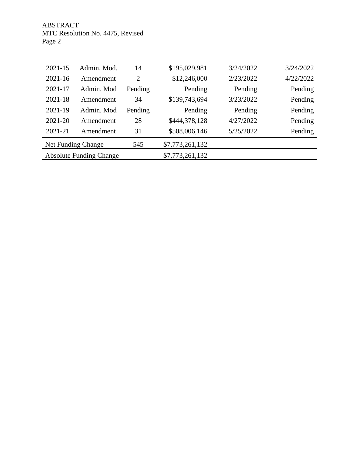ABSTRACT MTC Resolution No. 4475, Revised Page 2

| $2021 - 15$                    | Admin. Mod. | 14             | \$195,029,981   | 3/24/2022 | 3/24/2022 |
|--------------------------------|-------------|----------------|-----------------|-----------|-----------|
| $2021 - 16$                    | Amendment   | $\overline{2}$ | \$12,246,000    | 2/23/2022 | 4/22/2022 |
| 2021-17                        | Admin. Mod  | Pending        | Pending         | Pending   | Pending   |
| $2021 - 18$                    | Amendment   | 34             | \$139,743,694   | 3/23/2022 | Pending   |
| 2021-19                        | Admin. Mod  | Pending        | Pending         | Pending   | Pending   |
| 2021-20                        | Amendment   | 28             | \$444,378,128   | 4/27/2022 | Pending   |
| 2021-21                        | Amendment   | 31             | \$508,006,146   | 5/25/2022 | Pending   |
| Net Funding Change             |             | 545            | \$7,773,261,132 |           |           |
| <b>Absolute Funding Change</b> |             |                | \$7,773,261,132 |           |           |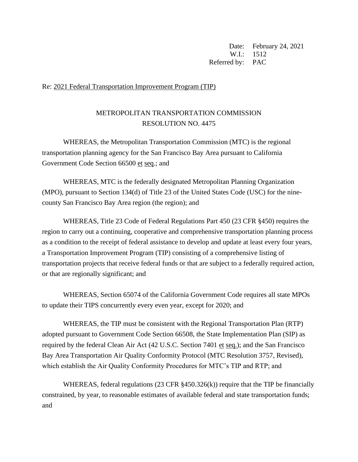Date: February 24, 2021  $W.I: 1512$ Referred by: PAC

## Re: 2021 Federal Transportation Improvement Program (TIP)

# METROPOLITAN TRANSPORTATION COMMISSION RESOLUTION NO. 4475

WHEREAS, the Metropolitan Transportation Commission (MTC) is the regional transportation planning agency for the San Francisco Bay Area pursuant to California Government Code Section 66500 et seq.; and

WHEREAS, MTC is the federally designated Metropolitan Planning Organization (MPO), pursuant to Section 134(d) of Title 23 of the United States Code (USC) for the ninecounty San Francisco Bay Area region (the region); and

WHEREAS, Title 23 Code of Federal Regulations Part 450 (23 CFR §450) requires the region to carry out a continuing, cooperative and comprehensive transportation planning process as a condition to the receipt of federal assistance to develop and update at least every four years, a Transportation Improvement Program (TIP) consisting of a comprehensive listing of transportation projects that receive federal funds or that are subject to a federally required action, or that are regionally significant; and

WHEREAS, Section 65074 of the California Government Code requires all state MPOs to update their TIPS concurrently every even year, except for 2020; and

WHEREAS, the TIP must be consistent with the Regional Transportation Plan (RTP) adopted pursuant to Government Code Section 66508, the State Implementation Plan (SIP) as required by the federal Clean Air Act (42 U.S.C. Section 7401 et seq.); and the San Francisco Bay Area Transportation Air Quality Conformity Protocol (MTC Resolution 3757, Revised), which establish the Air Quality Conformity Procedures for MTC's TIP and RTP; and

WHEREAS, federal regulations (23 CFR §450.326(k)) require that the TIP be financially constrained, by year, to reasonable estimates of available federal and state transportation funds; and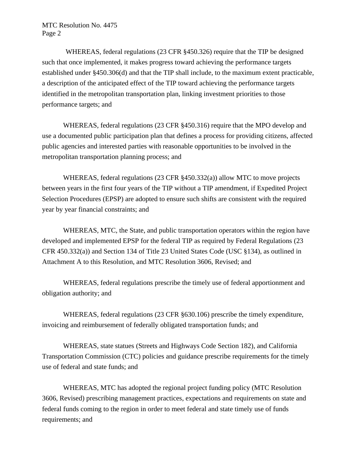WHEREAS, federal regulations (23 CFR §450.326) require that the TIP be designed such that once implemented, it makes progress toward achieving the performance targets established under §450.306(d) and that the TIP shall include, to the maximum extent practicable, a description of the anticipated effect of the TIP toward achieving the performance targets identified in the metropolitan transportation plan, linking investment priorities to those performance targets; and

WHEREAS, federal regulations (23 CFR §450.316) require that the MPO develop and use a documented public participation plan that defines a process for providing citizens, affected public agencies and interested parties with reasonable opportunities to be involved in the metropolitan transportation planning process; and

WHEREAS, federal regulations (23 CFR §450.332(a)) allow MTC to move projects between years in the first four years of the TIP without a TIP amendment, if Expedited Project Selection Procedures (EPSP) are adopted to ensure such shifts are consistent with the required year by year financial constraints; and

WHEREAS, MTC, the State, and public transportation operators within the region have developed and implemented EPSP for the federal TIP as required by Federal Regulations (23 CFR 450.332(a)) and Section 134 of Title 23 United States Code (USC §134), as outlined in Attachment A to this Resolution, and MTC Resolution 3606, Revised; and

WHEREAS, federal regulations prescribe the timely use of federal apportionment and obligation authority; and

WHEREAS, federal regulations (23 CFR §630.106) prescribe the timely expenditure, invoicing and reimbursement of federally obligated transportation funds; and

WHEREAS, state statues (Streets and Highways Code Section 182), and California Transportation Commission (CTC) policies and guidance prescribe requirements for the timely use of federal and state funds; and

WHEREAS, MTC has adopted the regional project funding policy (MTC Resolution 3606, Revised) prescribing management practices, expectations and requirements on state and federal funds coming to the region in order to meet federal and state timely use of funds requirements; and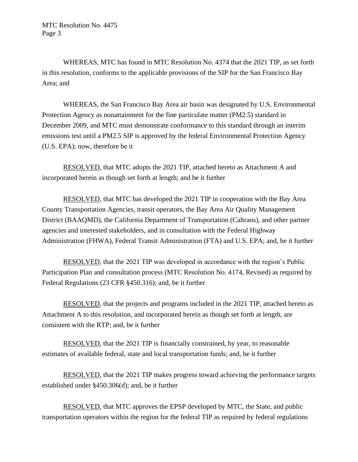WHEREAS, MTC has found in MTC Resolution No. 4374 that the 2021 TIP, as set forth in this resolution, conforms to the applicable provisions of the SIP for the San Francisco Bay Area; and

WHEREAS, the San Francisco Bay Area air basin was designated by U.S. Environmental Protection Agency as nonattainment for the fine particulate matter (PM2.5) standard in December 2009, and MTC must demonstrate conformance to this standard through an interim emissions test until a PM2.5 SIP is approved by the federal Environmental Protection Agency (U.S. EPA); now, therefore be it

RESOLVED, that MTC adopts the 2021 TIP, attached hereto as Attachment A and incorporated herein as though set forth at length; and be it further

RESOLVED, that MTC has developed the 2021 TIP in cooperation with the Bay Area County Transportation Agencies, transit operators, the Bay Area Air Quality Management District (BAAQMD), the California Department of Transportation (Caltrans), and other partner agencies and interested stakeholders, and in consultation with the Federal Highway Administration (FHWA), Federal Transit Administration (FTA) and U.S. EPA; and, be it further

RESOLVED, that the 2021 TIP was developed in accordance with the region's Public Participation Plan and consultation process (MTC Resolution No. 4174, Revised) as required by Federal Regulations (23 CFR §450.316); and, be it further

RESOLVED, that the projects and programs included in the 2021 TIP, attached hereto as Attachment A to this resolution, and incorporated herein as though set forth at length, are consistent with the RTP; and, be it further

RESOLVED, that the 2021 TIP is financially constrained, by year, to reasonable estimates of available federal, state and local transportation funds; and, be it further

RESOLVED, that the 2021 TIP makes progress toward achieving the performance targets established under §450.306(d); and, be it further

RESOLVED, that MTC approves the EPSP developed by MTC, the State, and public transportation operators within the region for the federal TIP as required by federal regulations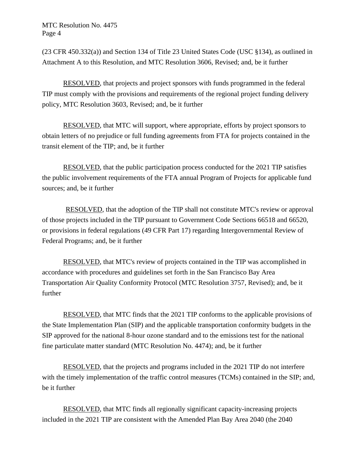MTC Resolution No. 4475 Page 4

(23 CFR 450.332(a)) and Section 134 of Title 23 United States Code (USC §134), as outlined in Attachment A to this Resolution, and MTC Resolution 3606, Revised; and, be it further

RESOLVED, that projects and project sponsors with funds programmed in the federal TIP must comply with the provisions and requirements of the regional project funding delivery policy, MTC Resolution 3603, Revised; and, be it further

RESOLVED, that MTC will support, where appropriate, efforts by project sponsors to obtain letters of no prejudice or full funding agreements from FTA for projects contained in the transit element of the TIP; and, be it further

RESOLVED, that the public participation process conducted for the 2021 TIP satisfies the public involvement requirements of the FTA annual Program of Projects for applicable fund sources; and, be it further

RESOLVED, that the adoption of the TIP shall not constitute MTC's review or approval of those projects included in the TIP pursuant to Government Code Sections 66518 and 66520, or provisions in federal regulations (49 CFR Part 17) regarding Intergovernmental Review of Federal Programs; and, be it further

RESOLVED, that MTC's review of projects contained in the TIP was accomplished in accordance with procedures and guidelines set forth in the San Francisco Bay Area Transportation Air Quality Conformity Protocol (MTC Resolution 3757, Revised); and, be it further

RESOLVED, that MTC finds that the 2021 TIP conforms to the applicable provisions of the State Implementation Plan (SIP) and the applicable transportation conformity budgets in the SIP approved for the national 8-hour ozone standard and to the emissions test for the national fine particulate matter standard (MTC Resolution No. 4474); and, be it further

RESOLVED, that the projects and programs included in the 2021 TIP do not interfere with the timely implementation of the traffic control measures (TCMs) contained in the SIP; and, be it further

RESOLVED, that MTC finds all regionally significant capacity-increasing projects included in the 2021 TIP are consistent with the Amended Plan Bay Area 2040 (the 2040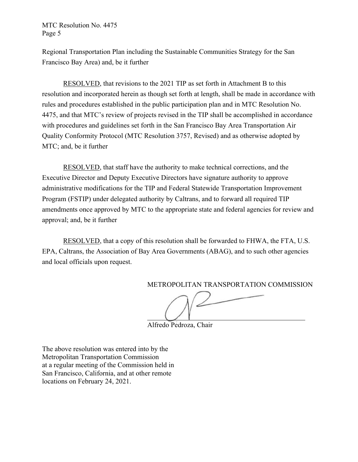## MTC Resolution No. 4475 Page 5

Regional Transportation Plan including the Sustainable Communities Strategy for the San Francisco Bay Area) and, be it further

RESOLVED, that revisions to the 2021 TIP as set forth in Attachment B to this resolution and incorporated herein as though set forth at length, shall be made in accordance with rules and procedures established in the public participation plan and in MTC Resolution No. 4475, and that MTC's review of projects revised in the TIP shall be accomplished in accordance with procedures and guidelines set forth in the San Francisco Bay Area Transportation Air Quality Conformity Protocol (MTC Resolution 3757, Revised) and as otherwise adopted by MTC; and, be it further

RESOLVED, that staff have the authority to make technical corrections, and the Executive Director and Deputy Executive Directors have signature authority to approve administrative modifications for the TIP and Federal Statewide Transportation Improvement Program (FSTIP) under delegated authority by Caltrans, and to forward all required TIP amendments once approved by MTC to the appropriate state and federal agencies for review and approval; and, be it further

RESOLVED, that a copy of this resolution shall be forwarded to FHWA, the FTA, U.S. EPA, Caltrans, the Association of Bay Area Governments (ABAG), and to such other agencies and local officials upon request.

METROPOLITAN TRANSPORTATION COMMISSION

Alfredo Pedroza, Chair

The above resolution was entered into by the Metropolitan Transportation Commission at a regular meeting of the Commission held in San Francisco, California, and at other remote locations on February 24, 2021.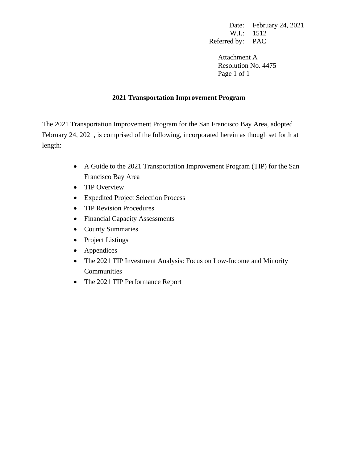Date: February 24, 2021 W.I.: 1512 Referred by: PAC

Attachment A Resolution No. 4475 Page 1 of 1

# **2021 Transportation Improvement Program**

The 2021 Transportation Improvement Program for the San Francisco Bay Area, adopted February 24, 2021, is comprised of the following, incorporated herein as though set forth at length:

- A Guide to the 2021 Transportation Improvement Program (TIP) for the San Francisco Bay Area
- TIP Overview
- Expedited Project Selection Process
- TIP Revision Procedures
- Financial Capacity Assessments
- County Summaries
- Project Listings
- Appendices
- The 2021 TIP Investment Analysis: Focus on Low-Income and Minority Communities
- The 2021 TIP Performance Report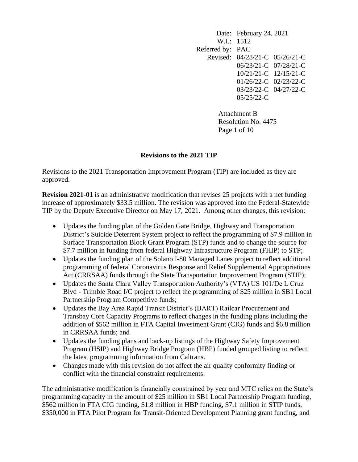Date: February 24, 2021 W.I.: 1512 Referred by: PAC Revised: 04/28/21-C 05/26/21-C 06/23/21-C 07/28/21-C 10/21/21-C 12/15/21-C 01/26/22-C 02/23/22-C 03/23/22-C 04/27/22-C 05/25/22-C

> Attachment B Resolution No. 4475 Page 1 of 10

# **Revisions to the 2021 TIP**

Revisions to the 2021 Transportation Improvement Program (TIP) are included as they are approved.

**Revision 2021-01** is an administrative modification that revises 25 projects with a net funding increase of approximately \$33.5 million. The revision was approved into the Federal-Statewide TIP by the Deputy Executive Director on May 17, 2021. Among other changes, this revision:

- Updates the funding plan of the Golden Gate Bridge, Highway and Transportation District's Suicide Deterrent System project to reflect the programming of \$7.9 million in Surface Transportation Block Grant Program (STP) funds and to change the source for \$7.7 million in funding from federal Highway Infrastructure Program (FHIP) to STP;
- Updates the funding plan of the Solano I-80 Managed Lanes project to reflect additional programming of federal Coronavirus Response and Relief Supplemental Appropriations Act (CRRSAA) funds through the State Transportation Improvement Program (STIP);
- Updates the Santa Clara Valley Transportation Authority's (VTA) US 101/De L Cruz Blvd - Trimble Road I/C project to reflect the programming of \$25 million in SB1 Local Partnership Program Competitive funds;
- Updates the Bay Area Rapid Transit District's (BART) Railcar Procurement and Transbay Core Capacity Programs to reflect changes in the funding plans including the addition of \$562 million in FTA Capital Investment Grant (CIG) funds and \$6.8 million in CRRSAA funds; and
- Updates the funding plans and back-up listings of the Highway Safety Improvement Program (HSIP) and Highway Bridge Program (HBP) funded grouped listing to reflect the latest programming information from Caltrans.
- Changes made with this revision do not affect the air quality conformity finding or conflict with the financial constraint requirements.

The administrative modification is financially constrained by year and MTC relies on the State's programming capacity in the amount of \$25 million in SB1 Local Partnership Program funding, \$562 million in FTA CIG funding, \$1.8 million in HBP funding, \$7.1 million in STIP funds, \$350,000 in FTA Pilot Program for Transit-Oriented Development Planning grant funding, and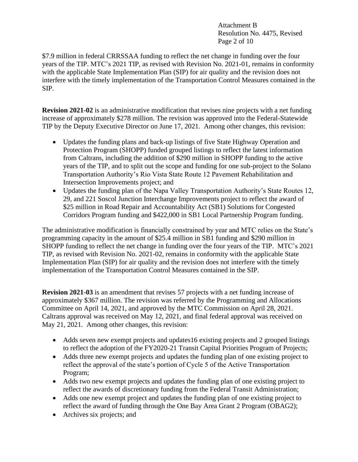Attachment B Resolution No. 4475, Revised Page 2 of 10

\$7.9 million in federal CRRSSAA funding to reflect the net change in funding over the four years of the TIP. MTC's 2021 TIP, as revised with Revision No. 2021-01, remains in conformity with the applicable State Implementation Plan (SIP) for air quality and the revision does not interfere with the timely implementation of the Transportation Control Measures contained in the SIP.

**Revision 2021-02** is an administrative modification that revises nine projects with a net funding increase of approximately \$278 million. The revision was approved into the Federal-Statewide TIP by the Deputy Executive Director on June 17, 2021. Among other changes, this revision:

- Updates the funding plans and back-up listings of five State Highway Operation and Protection Program (SHOPP) funded grouped listings to reflect the latest information from Caltrans, including the addition of \$290 million in SHOPP funding to the active years of the TIP, and to split out the scope and funding for one sub-project to the Solano Transportation Authority's Rio Vista State Route 12 Pavement Rehabilitation and Intersection Improvements project; and
- Updates the funding plan of the Napa Valley Transportation Authority's State Routes 12, 29, and 221 Soscol Junction Interchange Improvements project to reflect the award of \$25 million in Road Repair and Accountability Act (SB1) Solutions for Congested Corridors Program funding and \$422,000 in SB1 Local Partnership Program funding.

The administrative modification is financially constrained by year and MTC relies on the State's programming capacity in the amount of \$25.4 million in SB1 funding and \$290 million in SHOPP funding to reflect the net change in funding over the four years of the TIP. MTC's 2021 TIP, as revised with Revision No. 2021-02, remains in conformity with the applicable State Implementation Plan (SIP) for air quality and the revision does not interfere with the timely implementation of the Transportation Control Measures contained in the SIP.

**Revision 2021-03** is an amendment that revises 57 projects with a net funding increase of approximately \$367 million. The revision was referred by the Programming and Allocations Committee on April 14, 2021, and approved by the MTC Commission on April 28, 2021. Caltrans approval was received on May 12, 2021, and final federal approval was received on May 21, 2021. Among other changes, this revision:

- Adds seven new exempt projects and updates 16 existing projects and 2 grouped listings to reflect the adoption of the FY2020-21 Transit Capital Priorities Program of Projects;
- Adds three new exempt projects and updates the funding plan of one existing project to reflect the approval of the state's portion of Cycle 5 of the Active Transportation Program;
- Adds two new exempt projects and updates the funding plan of one existing project to reflect the awards of discretionary funding from the Federal Transit Administration;
- Adds one new exempt project and updates the funding plan of one existing project to reflect the award of funding through the One Bay Area Grant 2 Program (OBAG2);
- Archives six projects; and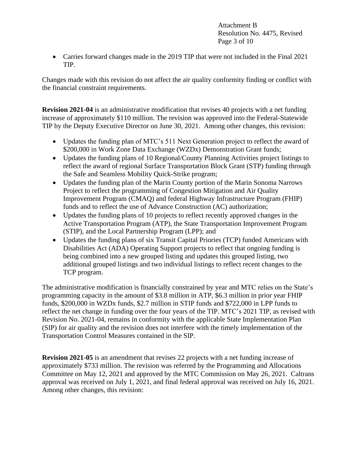Attachment B Resolution No. 4475, Revised Page 3 of 10

• Carries forward changes made in the 2019 TIP that were not included in the Final 2021 TIP.

Changes made with this revision do not affect the air quality conformity finding or conflict with the financial constraint requirements.

**Revision 2021-04** is an administrative modification that revises 40 projects with a net funding increase of approximately \$110 million. The revision was approved into the Federal-Statewide TIP by the Deputy Executive Director on June 30, 2021. Among other changes, this revision:

- Updates the funding plan of MTC's 511 Next Generation project to reflect the award of \$200,000 in Work Zone Data Exchange (WZDx) Demonstration Grant funds;
- Updates the funding plans of 10 Regional/County Planning Activities project listings to reflect the award of regional Surface Transportation Block Grant (STP) funding through the Safe and Seamless Mobility Quick-Strike program;
- Updates the funding plan of the Marin County portion of the Marin Sonoma Narrows Project to reflect the programming of Congestion Mitigation and Air Quality Improvement Program (CMAQ) and federal Highway Infrastructure Program (FHIP) funds and to reflect the use of Advance Construction (AC) authorization;
- Updates the funding plans of 10 projects to reflect recently approved changes in the Active Transportation Program (ATP), the State Transportation Improvement Program (STIP), and the Local Partnership Program (LPP); and
- Updates the funding plans of six Transit Capital Priories (TCP) funded Americans with Disabilities Act (ADA) Operating Support projects to reflect that ongoing funding is being combined into a new grouped listing and updates this grouped listing, two additional grouped listings and two individual listings to reflect recent changes to the TCP program.

The administrative modification is financially constrained by year and MTC relies on the State's programming capacity in the amount of \$3.8 million in ATP, \$6.3 million in prior year FHIP funds, \$200,000 in WZDx funds, \$2.7 million in STIP funds and \$722,000 in LPP funds to reflect the net change in funding over the four years of the TIP. MTC's 2021 TIP, as revised with Revision No. 2021-04, remains in conformity with the applicable State Implementation Plan (SIP) for air quality and the revision does not interfere with the timely implementation of the Transportation Control Measures contained in the SIP.

**Revision 2021-05** is an amendment that revises 22 projects with a net funding increase of approximately \$733 million. The revision was referred by the Programming and Allocations Committee on May 12, 2021 and approved by the MTC Commission on May 26, 2021. Caltrans approval was received on July 1, 2021, and final federal approval was received on July 16, 2021. Among other changes, this revision: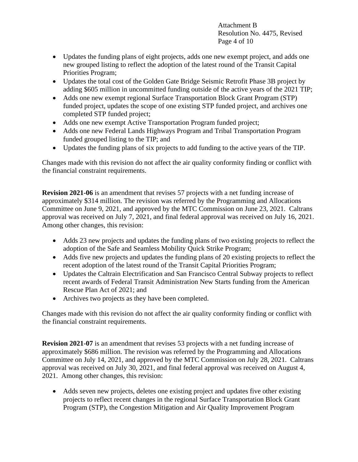Attachment B Resolution No. 4475, Revised Page 4 of 10

- Updates the funding plans of eight projects, adds one new exempt project, and adds one new grouped listing to reflect the adoption of the latest round of the Transit Capital Priorities Program;
- Updates the total cost of the Golden Gate Bridge Seismic Retrofit Phase 3B project by adding \$605 million in uncommitted funding outside of the active years of the 2021 TIP;
- Adds one new exempt regional Surface Transportation Block Grant Program (STP) funded project, updates the scope of one existing STP funded project, and archives one completed STP funded project;
- Adds one new exempt Active Transportation Program funded project;
- Adds one new Federal Lands Highways Program and Tribal Transportation Program funded grouped listing to the TIP; and
- Updates the funding plans of six projects to add funding to the active years of the TIP.

Changes made with this revision do not affect the air quality conformity finding or conflict with the financial constraint requirements.

**Revision 2021-06** is an amendment that revises 57 projects with a net funding increase of approximately \$314 million. The revision was referred by the Programming and Allocations Committee on June 9, 2021, and approved by the MTC Commission on June 23, 2021. Caltrans approval was received on July 7, 2021, and final federal approval was received on July 16, 2021. Among other changes, this revision:

- Adds 23 new projects and updates the funding plans of two existing projects to reflect the adoption of the Safe and Seamless Mobility Quick Strike Program;
- Adds five new projects and updates the funding plans of 20 existing projects to reflect the recent adoption of the latest round of the Transit Capital Priorities Program;
- Updates the Caltrain Electrification and San Francisco Central Subway projects to reflect recent awards of Federal Transit Administration New Starts funding from the American Rescue Plan Act of 2021; and
- Archives two projects as they have been completed.

Changes made with this revision do not affect the air quality conformity finding or conflict with the financial constraint requirements.

**Revision 2021-07** is an amendment that revises 53 projects with a net funding increase of approximately \$686 million. The revision was referred by the Programming and Allocations Committee on July 14, 2021, and approved by the MTC Commission on July 28, 2021. Caltrans approval was received on July 30, 2021, and final federal approval was received on August 4, 2021. Among other changes, this revision:

• Adds seven new projects, deletes one existing project and updates five other existing projects to reflect recent changes in the regional Surface Transportation Block Grant Program (STP), the Congestion Mitigation and Air Quality Improvement Program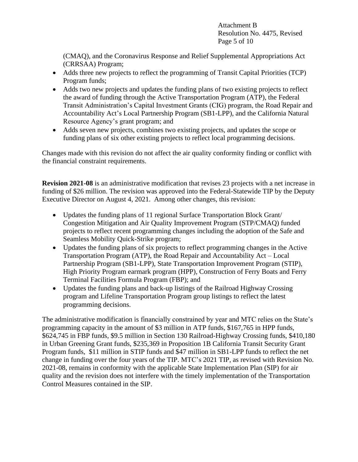Attachment B Resolution No. 4475, Revised Page 5 of 10

(CMAQ), and the Coronavirus Response and Relief Supplemental Appropriations Act (CRRSAA) Program;

- Adds three new projects to reflect the programming of Transit Capital Priorities (TCP) Program funds;
- Adds two new projects and updates the funding plans of two existing projects to reflect the award of funding through the Active Transportation Program (ATP), the Federal Transit Administration's Capital Investment Grants (CIG) program, the Road Repair and Accountability Act's Local Partnership Program (SB1-LPP), and the California Natural Resource Agency's grant program; and
- Adds seven new projects, combines two existing projects, and updates the scope or funding plans of six other existing projects to reflect local programming decisions.

Changes made with this revision do not affect the air quality conformity finding or conflict with the financial constraint requirements.

**Revision 2021-08** is an administrative modification that revises 23 projects with a net increase in funding of \$26 million. The revision was approved into the Federal-Statewide TIP by the Deputy Executive Director on August 4, 2021. Among other changes, this revision:

- Updates the funding plans of 11 regional Surface Transportation Block Grant/ Congestion Mitigation and Air Quality Improvement Program (STP/CMAQ) funded projects to reflect recent programming changes including the adoption of the Safe and Seamless Mobility Quick-Strike program;
- Updates the funding plans of six projects to reflect programming changes in the Active Transportation Program (ATP), the Road Repair and Accountability Act – Local Partnership Program (SB1-LPP), State Transportation Improvement Program (STIP), High Priority Program earmark program (HPP), Construction of Ferry Boats and Ferry Terminal Facilities Formula Program (FBP); and
- Updates the funding plans and back-up listings of the Railroad Highway Crossing program and Lifeline Transportation Program group listings to reflect the latest programming decisions.

The administrative modification is financially constrained by year and MTC relies on the State's programming capacity in the amount of \$3 million in ATP funds, \$167,765 in HPP funds, \$624,745 in FBP funds, \$9.5 million in Section 130 Railroad-Highway Crossing funds, \$410,180 in Urban Greening Grant funds, \$235,369 in Proposition 1B California Transit Security Grant Program funds, \$11 million in STIP funds and \$47 million in SB1-LPP funds to reflect the net change in funding over the four years of the TIP. MTC's 2021 TIP, as revised with Revision No. 2021-08, remains in conformity with the applicable State Implementation Plan (SIP) for air quality and the revision does not interfere with the timely implementation of the Transportation Control Measures contained in the SIP.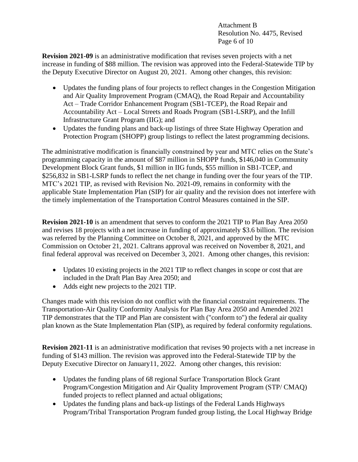Attachment B Resolution No. 4475, Revised Page 6 of 10

**Revision 2021-09** is an administrative modification that revises seven projects with a net increase in funding of \$88 million. The revision was approved into the Federal-Statewide TIP by the Deputy Executive Director on August 20, 2021. Among other changes, this revision:

- Updates the funding plans of four projects to reflect changes in the Congestion Mitigation and Air Quality Improvement Program (CMAQ), the Road Repair and Accountability Act – Trade Corridor Enhancement Program (SB1-TCEP), the Road Repair and Accountability Act – Local Streets and Roads Program (SB1-LSRP), and the Infill Infrastructure Grant Program (IIG); and
- Updates the funding plans and back-up listings of three State Highway Operation and Protection Program (SHOPP) group listings to reflect the latest programming decisions.

The administrative modification is financially constrained by year and MTC relies on the State's programming capacity in the amount of \$87 million in SHOPP funds, \$146,040 in Community Development Block Grant funds, \$1 million in IIG funds, \$55 million in SB1-TCEP, and \$256,832 in SB1-LSRP funds to reflect the net change in funding over the four years of the TIP. MTC's 2021 TIP, as revised with Revision No. 2021-09, remains in conformity with the applicable State Implementation Plan (SIP) for air quality and the revision does not interfere with the timely implementation of the Transportation Control Measures contained in the SIP.

**Revision 2021-10** is an amendment that serves to conform the 2021 TIP to Plan Bay Area 2050 and revises 18 projects with a net increase in funding of approximately \$3.6 billion. The revision was referred by the Planning Committee on October 8, 2021, and approved by the MTC Commission on October 21, 2021. Caltrans approval was received on November 8, 2021, and final federal approval was received on December 3, 2021. Among other changes, this revision:

- Updates 10 existing projects in the 2021 TIP to reflect changes in scope or cost that are included in the Draft Plan Bay Area 2050; and
- Adds eight new projects to the 2021 TIP.

Changes made with this revision do not conflict with the financial constraint requirements. The Transportation-Air Quality Conformity Analysis for Plan Bay Area 2050 and Amended 2021 TIP demonstrates that the TIP and Plan are consistent with ("conform to") the federal air quality plan known as the State Implementation Plan (SIP), as required by federal conformity regulations.

**Revision 2021-11** is an administrative modification that revises 90 projects with a net increase in funding of \$143 million. The revision was approved into the Federal-Statewide TIP by the Deputy Executive Director on January11, 2022. Among other changes, this revision:

- Updates the funding plans of 68 regional Surface Transportation Block Grant Program/Congestion Mitigation and Air Quality Improvement Program (STP/ CMAQ) funded projects to reflect planned and actual obligations;
- Updates the funding plans and back-up listings of the Federal Lands Highways Program/Tribal Transportation Program funded group listing, the Local Highway Bridge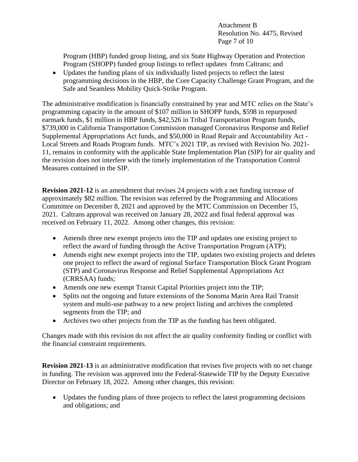Attachment B Resolution No. 4475, Revised Page 7 of 10

Program (HBP) funded group listing, and six State Highway Operation and Protection Program (SHOPP) funded group listings to reflect updates from Caltrans; and

• Updates the funding plans of six individually listed projects to reflect the latest programming decisions in the HBP, the Core Capacity Challenge Grant Program, and the Safe and Seamless Mobility Quick-Strike Program.

The administrative modification is financially constrained by year and MTC relies on the State's programming capacity in the amount of \$107 million in SHOPP funds, \$598 in repurposed earmark funds, \$1 million in HBP funds, \$42,526 in Tribal Transportation Program funds, \$739,000 in California Transportation Commission managed Coronavirus Response and Relief Supplemental Appropriations Act funds, and \$50,000 in Road Repair and Accountability Act - Local Streets and Roads Program funds. MTC's 2021 TIP, as revised with Revision No. 2021- 11, remains in conformity with the applicable State Implementation Plan (SIP) for air quality and the revision does not interfere with the timely implementation of the Transportation Control Measures contained in the SIP.

**Revision 2021-12** is an amendment that revises 24 projects with a net funding increase of approximately \$82 million. The revision was referred by the Programming and Allocations Committee on December 8, 2021 and approved by the MTC Commission on December 15, 2021. Caltrans approval was received on January 28, 2022 and final federal approval was received on February 11, 2022. Among other changes, this revision:

- Amends three new exempt projects into the TIP and updates one existing project to reflect the award of funding through the Active Transportation Program (ATP);
- Amends eight new exempt projects into the TIP, updates two existing projects and deletes one project to reflect the award of regional Surface Transportation Block Grant Program (STP) and Coronavirus Response and Relief Supplemental Appropriations Act (CRRSAA) funds;
- Amends one new exempt Transit Capital Priorities project into the TIP;
- Splits out the ongoing and future extensions of the Sonoma Marin Area Rail Transit system and multi-use pathway to a new project listing and archives the completed segments from the TIP; and
- Archives two other projects from the TIP as the funding has been obligated.

Changes made with this revision do not affect the air quality conformity finding or conflict with the financial constraint requirements.

**Revision 2021-13** is an administrative modification that revises five projects with no net change in funding. The revision was approved into the Federal-Statewide TIP by the Deputy Executive Director on February 18, 2022. Among other changes, this revision:

• Updates the funding plans of three projects to reflect the latest programming decisions and obligations; and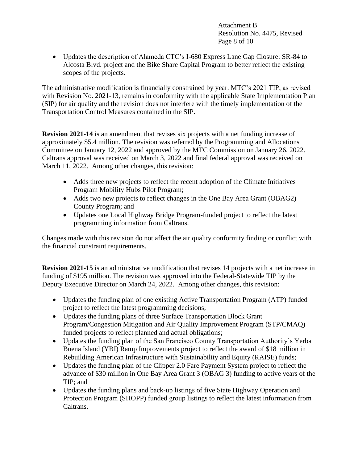Attachment B Resolution No. 4475, Revised Page 8 of 10

• Updates the description of Alameda CTC's I-680 Express Lane Gap Closure: SR-84 to Alcosta Blvd. project and the Bike Share Capital Program to better reflect the existing scopes of the projects.

The administrative modification is financially constrained by year. MTC's 2021 TIP, as revised with Revision No. 2021-13, remains in conformity with the applicable State Implementation Plan (SIP) for air quality and the revision does not interfere with the timely implementation of the Transportation Control Measures contained in the SIP.

**Revision 2021-14** is an amendment that revises six projects with a net funding increase of approximately \$5.4 million. The revision was referred by the Programming and Allocations Committee on January 12, 2022 and approved by the MTC Commission on January 26, 2022. Caltrans approval was received on March 3, 2022 and final federal approval was received on March 11, 2022. Among other changes, this revision:

- Adds three new projects to reflect the recent adoption of the Climate Initiatives Program Mobility Hubs Pilot Program;
- Adds two new projects to reflect changes in the One Bay Area Grant (OBAG2) County Program; and
- Updates one Local Highway Bridge Program-funded project to reflect the latest programming information from Caltrans.

Changes made with this revision do not affect the air quality conformity finding or conflict with the financial constraint requirements.

**Revision 2021-15** is an administrative modification that revises 14 projects with a net increase in funding of \$195 million. The revision was approved into the Federal-Statewide TIP by the Deputy Executive Director on March 24, 2022. Among other changes, this revision:

- Updates the funding plan of one existing Active Transportation Program (ATP) funded project to reflect the latest programming decisions;
- Updates the funding plans of three Surface Transportation Block Grant Program/Congestion Mitigation and Air Quality Improvement Program (STP/CMAQ) funded projects to reflect planned and actual obligations;
- Updates the funding plan of the San Francisco County Transportation Authority's Yerba Buena Island (YBI) Ramp Improvements project to reflect the award of \$18 million in Rebuilding American Infrastructure with Sustainability and Equity (RAISE) funds;
- Updates the funding plan of the Clipper 2.0 Fare Payment System project to reflect the advance of \$30 million in One Bay Area Grant 3 (OBAG 3) funding to active years of the TIP; and
- Updates the funding plans and back-up listings of five State Highway Operation and Protection Program (SHOPP) funded group listings to reflect the latest information from Caltrans.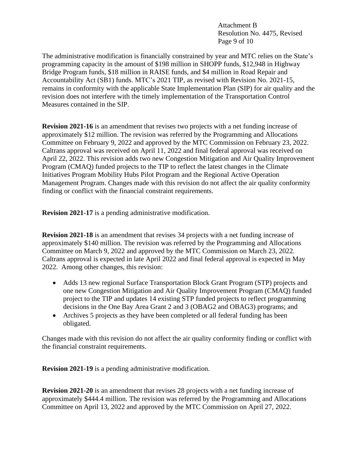Attachment B Resolution No. 4475, Revised Page 9 of 10

The administrative modification is financially constrained by year and MTC relies on the State's programming capacity in the amount of \$198 million in SHOPP funds, \$12,948 in Highway Bridge Program funds, \$18 million in RAISE funds, and \$4 million in Road Repair and Accountability Act (SB1) funds. MTC's 2021 TIP, as revised with Revision No. 2021-15, remains in conformity with the applicable State Implementation Plan (SIP) for air quality and the revision does not interfere with the timely implementation of the Transportation Control Measures contained in the SIP.

**Revision 2021-16** is an amendment that revises two projects with a net funding increase of approximately \$12 million. The revision was referred by the Programming and Allocations Committee on February 9, 2022 and approved by the MTC Commission on February 23, 2022. Caltrans approval was received on April 11, 2022 and final federal approval was received on April 22, 2022. This revision adds two new Congestion Mitigation and Air Quality Improvement Program (CMAQ) funded projects to the TIP to reflect the latest changes in the Climate Initiatives Program Mobility Hubs Pilot Program and the Regional Active Operation Management Program. Changes made with this revision do not affect the air quality conformity finding or conflict with the financial constraint requirements.

**Revision 2021-17** is a pending administrative modification.

**Revision 2021-18** is an amendment that revises 34 projects with a net funding increase of approximately \$140 million. The revision was referred by the Programming and Allocations Committee on March 9, 2022 and approved by the MTC Commission on March 23, 2022. Caltrans approval is expected in late April 2022 and final federal approval is expected in May 2022. Among other changes, this revision:

- Adds 13 new regional Surface Transportation Block Grant Program (STP) projects and one new Congestion Mitigation and Air Quality Improvement Program (CMAQ) funded project to the TIP and updates 14 existing STP funded projects to reflect programming decisions in the One Bay Area Grant 2 and 3 (OBAG2 and OBAG3) programs; and
- Archives 5 projects as they have been completed or all federal funding has been obligated.

Changes made with this revision do not affect the air quality conformity finding or conflict with the financial constraint requirements.

**Revision 2021-19** is a pending administrative modification.

**Revision 2021-20** is an amendment that revises 28 projects with a net funding increase of approximately \$444.4 million. The revision was referred by the Programming and Allocations Committee on April 13, 2022 and approved by the MTC Commission on April 27, 2022.